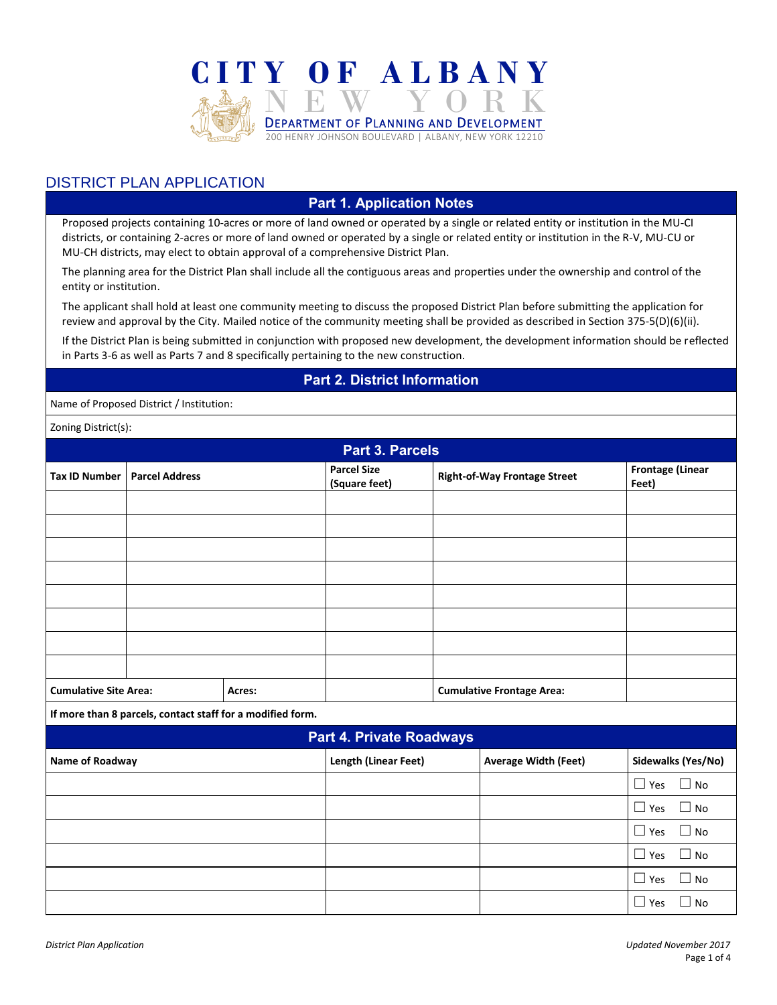

## DISTRICT PLAN APPLICATION

## **Part 1. Application Notes**

Proposed projects containing 10-acres or more of land owned or operated by a single or related entity or institution in the MU-CI districts, or containing 2-acres or more of land owned or operated by a single or related entity or institution in the R-V, MU-CU or MU-CH districts, may elect to obtain approval of a comprehensive District Plan.

The planning area for the District Plan shall include all the contiguous areas and properties under the ownership and control of the entity or institution.

The applicant shall hold at least one community meeting to discuss the proposed District Plan before submitting the application for review and approval by the City. Mailed notice of the community meeting shall be provided as described in Section 375-5(D)(6)(ii).

If the District Plan is being submitted in conjunction with proposed new development, the development information should be reflected in Parts 3-6 as well as Parts 7 and 8 specifically pertaining to the new construction.

## **Part 2. District Information**

Name of Proposed District / Institution:

Zoning District(s):

| <b>Part 3. Parcels</b>       |                                                            |                      |                                     |                                  |                                     |                                  |
|------------------------------|------------------------------------------------------------|----------------------|-------------------------------------|----------------------------------|-------------------------------------|----------------------------------|
| <b>Tax ID Number</b>         | <b>Parcel Address</b>                                      |                      | <b>Parcel Size</b><br>(Square feet) |                                  | <b>Right-of-Way Frontage Street</b> | <b>Frontage (Linear</b><br>Feet) |
|                              |                                                            |                      |                                     |                                  |                                     |                                  |
|                              |                                                            |                      |                                     |                                  |                                     |                                  |
|                              |                                                            |                      |                                     |                                  |                                     |                                  |
|                              |                                                            |                      |                                     |                                  |                                     |                                  |
|                              |                                                            |                      |                                     |                                  |                                     |                                  |
|                              |                                                            |                      |                                     |                                  |                                     |                                  |
|                              |                                                            |                      |                                     |                                  |                                     |                                  |
|                              |                                                            |                      |                                     |                                  |                                     |                                  |
| <b>Cumulative Site Area:</b> |                                                            | Acres:               |                                     | <b>Cumulative Frontage Area:</b> |                                     |                                  |
|                              | If more than 8 parcels, contact staff for a modified form. |                      |                                     |                                  |                                     |                                  |
| Part 4. Private Roadways     |                                                            |                      |                                     |                                  |                                     |                                  |
| Name of Roadway              |                                                            | Length (Linear Feet) |                                     | <b>Average Width (Feet)</b>      | Sidewalks (Yes/No)                  |                                  |
|                              |                                                            |                      |                                     |                                  |                                     | $\Box$ Yes<br>$\Box$ No          |
|                              |                                                            |                      |                                     |                                  |                                     | $\Box$ No<br>$\Box$ Yes          |
|                              |                                                            |                      |                                     |                                  |                                     | $\Box$ No<br>$\Box$ Yes          |
|                              |                                                            |                      |                                     |                                  |                                     | $\Box$ Yes<br>$\Box$ No          |
|                              |                                                            |                      |                                     |                                  |                                     | $\Box$ No<br>$\Box$ Yes          |
|                              |                                                            |                      |                                     |                                  |                                     | $\Box$ No<br>$\Box$ Yes          |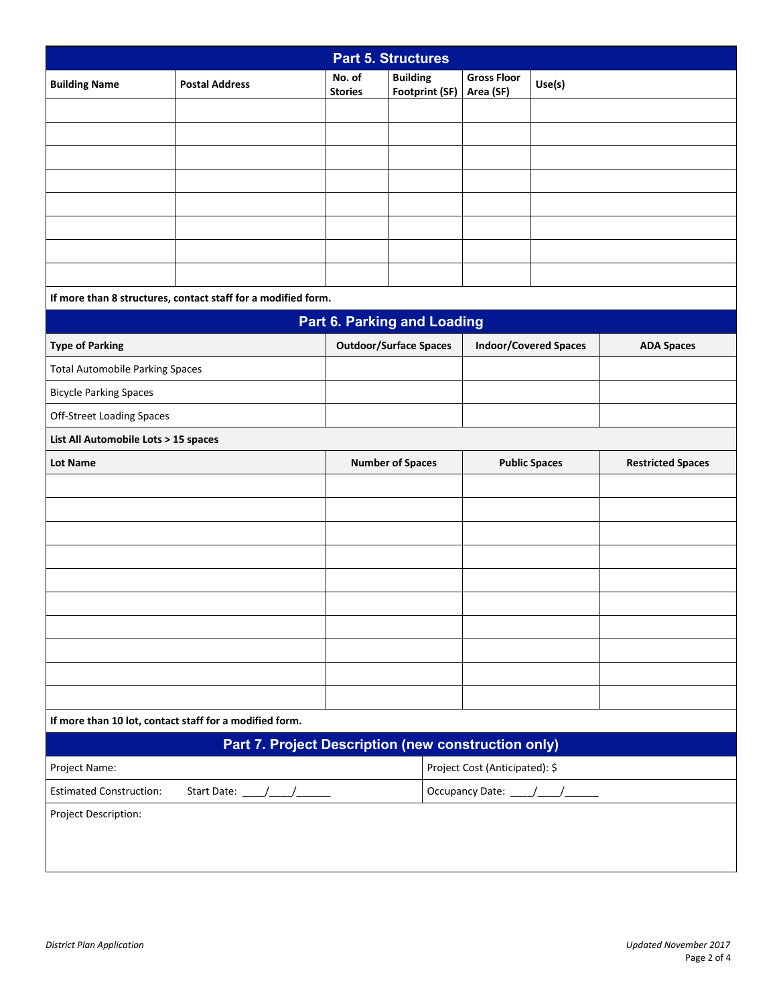| <b>Part 5. Structures</b>                           |                                                               |                                                                    |                                   |                                 |                              |                          |
|-----------------------------------------------------|---------------------------------------------------------------|--------------------------------------------------------------------|-----------------------------------|---------------------------------|------------------------------|--------------------------|
| <b>Building Name</b>                                | <b>Postal Address</b>                                         | No. of<br><b>Stories</b>                                           | <b>Building</b><br>Footprint (SF) | <b>Gross Floor</b><br>Area (SF) | Use(s)                       |                          |
|                                                     |                                                               |                                                                    |                                   |                                 |                              |                          |
|                                                     |                                                               |                                                                    |                                   |                                 |                              |                          |
|                                                     |                                                               |                                                                    |                                   |                                 |                              |                          |
|                                                     |                                                               |                                                                    |                                   |                                 |                              |                          |
|                                                     |                                                               |                                                                    |                                   |                                 |                              |                          |
|                                                     |                                                               |                                                                    |                                   |                                 |                              |                          |
|                                                     |                                                               |                                                                    |                                   |                                 |                              |                          |
|                                                     |                                                               |                                                                    |                                   |                                 |                              |                          |
|                                                     | If more than 8 structures, contact staff for a modified form. |                                                                    |                                   |                                 |                              |                          |
|                                                     |                                                               |                                                                    | Part 6. Parking and Loading       |                                 |                              |                          |
| <b>Type of Parking</b>                              |                                                               |                                                                    | <b>Outdoor/Surface Spaces</b>     |                                 | <b>Indoor/Covered Spaces</b> | <b>ADA Spaces</b>        |
| <b>Total Automobile Parking Spaces</b>              |                                                               |                                                                    |                                   |                                 |                              |                          |
| <b>Bicycle Parking Spaces</b>                       |                                                               |                                                                    |                                   |                                 |                              |                          |
| <b>Off-Street Loading Spaces</b>                    |                                                               |                                                                    |                                   |                                 |                              |                          |
| List All Automobile Lots > 15 spaces                |                                                               |                                                                    |                                   |                                 |                              |                          |
| <b>Lot Name</b>                                     |                                                               |                                                                    | <b>Number of Spaces</b>           |                                 | <b>Public Spaces</b>         | <b>Restricted Spaces</b> |
|                                                     |                                                               |                                                                    |                                   |                                 |                              |                          |
|                                                     |                                                               |                                                                    |                                   |                                 |                              |                          |
|                                                     |                                                               |                                                                    |                                   |                                 |                              |                          |
|                                                     |                                                               |                                                                    |                                   |                                 |                              |                          |
|                                                     |                                                               |                                                                    |                                   |                                 |                              |                          |
|                                                     |                                                               |                                                                    |                                   |                                 |                              |                          |
|                                                     |                                                               |                                                                    |                                   |                                 |                              |                          |
|                                                     |                                                               |                                                                    |                                   |                                 |                              |                          |
|                                                     |                                                               |                                                                    |                                   |                                 |                              |                          |
|                                                     |                                                               |                                                                    |                                   |                                 |                              |                          |
|                                                     | If more than 10 lot, contact staff for a modified form.       |                                                                    |                                   |                                 |                              |                          |
| Part 7. Project Description (new construction only) |                                                               |                                                                    |                                   |                                 |                              |                          |
| Project Name:                                       |                                                               | Project Cost (Anticipated): \$<br>Occupancy Date: ____/____/______ |                                   |                                 |                              |                          |
| <b>Estimated Construction:</b>                      |                                                               |                                                                    |                                   |                                 |                              |                          |
| Project Description:                                |                                                               |                                                                    |                                   |                                 |                              |                          |
|                                                     |                                                               |                                                                    |                                   |                                 |                              |                          |
|                                                     |                                                               |                                                                    |                                   |                                 |                              |                          |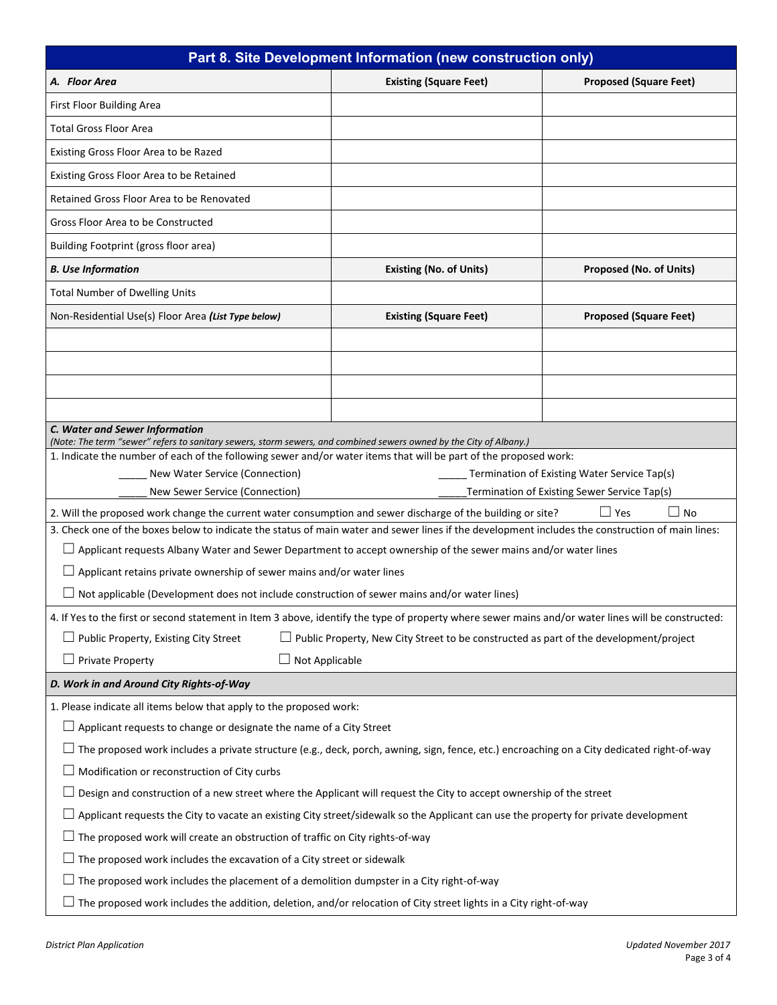| Part 8. Site Development Information (new construction only)                                                                                                                                                                           |                                                                                                                          |                                              |  |  |  |  |
|----------------------------------------------------------------------------------------------------------------------------------------------------------------------------------------------------------------------------------------|--------------------------------------------------------------------------------------------------------------------------|----------------------------------------------|--|--|--|--|
| A. Floor Area                                                                                                                                                                                                                          | <b>Existing (Square Feet)</b>                                                                                            | <b>Proposed (Square Feet)</b>                |  |  |  |  |
| First Floor Building Area                                                                                                                                                                                                              |                                                                                                                          |                                              |  |  |  |  |
| <b>Total Gross Floor Area</b>                                                                                                                                                                                                          |                                                                                                                          |                                              |  |  |  |  |
| Existing Gross Floor Area to be Razed                                                                                                                                                                                                  |                                                                                                                          |                                              |  |  |  |  |
| Existing Gross Floor Area to be Retained                                                                                                                                                                                               |                                                                                                                          |                                              |  |  |  |  |
| Retained Gross Floor Area to be Renovated                                                                                                                                                                                              |                                                                                                                          |                                              |  |  |  |  |
| Gross Floor Area to be Constructed                                                                                                                                                                                                     |                                                                                                                          |                                              |  |  |  |  |
| Building Footprint (gross floor area)                                                                                                                                                                                                  |                                                                                                                          |                                              |  |  |  |  |
| <b>B.</b> Use Information                                                                                                                                                                                                              | <b>Existing (No. of Units)</b>                                                                                           | Proposed (No. of Units)                      |  |  |  |  |
| <b>Total Number of Dwelling Units</b>                                                                                                                                                                                                  |                                                                                                                          |                                              |  |  |  |  |
| Non-Residential Use(s) Floor Area (List Type below)                                                                                                                                                                                    | <b>Existing (Square Feet)</b>                                                                                            | <b>Proposed (Square Feet)</b>                |  |  |  |  |
|                                                                                                                                                                                                                                        |                                                                                                                          |                                              |  |  |  |  |
|                                                                                                                                                                                                                                        |                                                                                                                          |                                              |  |  |  |  |
|                                                                                                                                                                                                                                        |                                                                                                                          |                                              |  |  |  |  |
|                                                                                                                                                                                                                                        |                                                                                                                          |                                              |  |  |  |  |
| C. Water and Sewer Information                                                                                                                                                                                                         |                                                                                                                          |                                              |  |  |  |  |
| (Note: The term "sewer" refers to sanitary sewers, storm sewers, and combined sewers owned by the City of Albany.)<br>1. Indicate the number of each of the following sewer and/or water items that will be part of the proposed work: |                                                                                                                          |                                              |  |  |  |  |
| New Water Service (Connection)                                                                                                                                                                                                         |                                                                                                                          | Termination of Existing Water Service Tap(s) |  |  |  |  |
| New Sewer Service (Connection)                                                                                                                                                                                                         |                                                                                                                          | Termination of Existing Sewer Service Tap(s) |  |  |  |  |
|                                                                                                                                                                                                                                        | $\Box$ No<br>2. Will the proposed work change the current water consumption and sewer discharge of the building or site? |                                              |  |  |  |  |
| 3. Check one of the boxes below to indicate the status of main water and sewer lines if the development includes the construction of main lines:                                                                                       |                                                                                                                          |                                              |  |  |  |  |
| $\Box$ Applicant requests Albany Water and Sewer Department to accept ownership of the sewer mains and/or water lines                                                                                                                  |                                                                                                                          |                                              |  |  |  |  |
| $\Box$ Applicant retains private ownership of sewer mains and/or water lines                                                                                                                                                           |                                                                                                                          |                                              |  |  |  |  |
| Not applicable (Development does not include construction of sewer mains and/or water lines)                                                                                                                                           |                                                                                                                          |                                              |  |  |  |  |
| 4. If Yes to the first or second statement in Item 3 above, identify the type of property where sewer mains and/or water lines will be constructed:                                                                                    |                                                                                                                          |                                              |  |  |  |  |
| $\Box$ Public Property, Existing City Street<br>$\Box$ Public Property, New City Street to be constructed as part of the development/project                                                                                           |                                                                                                                          |                                              |  |  |  |  |
| Not Applicable<br>$\Box$ Private Property                                                                                                                                                                                              |                                                                                                                          |                                              |  |  |  |  |
| D. Work in and Around City Rights-of-Way                                                                                                                                                                                               |                                                                                                                          |                                              |  |  |  |  |
| 1. Please indicate all items below that apply to the proposed work:                                                                                                                                                                    |                                                                                                                          |                                              |  |  |  |  |
| $\Box$ Applicant requests to change or designate the name of a City Street                                                                                                                                                             |                                                                                                                          |                                              |  |  |  |  |
| The proposed work includes a private structure (e.g., deck, porch, awning, sign, fence, etc.) encroaching on a City dedicated right-of-way                                                                                             |                                                                                                                          |                                              |  |  |  |  |
| Modification or reconstruction of City curbs                                                                                                                                                                                           |                                                                                                                          |                                              |  |  |  |  |
| Design and construction of a new street where the Applicant will request the City to accept ownership of the street                                                                                                                    |                                                                                                                          |                                              |  |  |  |  |
| Applicant requests the City to vacate an existing City street/sidewalk so the Applicant can use the property for private development                                                                                                   |                                                                                                                          |                                              |  |  |  |  |
| $\Box$ The proposed work will create an obstruction of traffic on City rights-of-way                                                                                                                                                   |                                                                                                                          |                                              |  |  |  |  |
| The proposed work includes the excavation of a City street or sidewalk                                                                                                                                                                 |                                                                                                                          |                                              |  |  |  |  |
| The proposed work includes the placement of a demolition dumpster in a City right-of-way                                                                                                                                               |                                                                                                                          |                                              |  |  |  |  |
| $\Box$ The proposed work includes the addition, deletion, and/or relocation of City street lights in a City right-of-way                                                                                                               |                                                                                                                          |                                              |  |  |  |  |